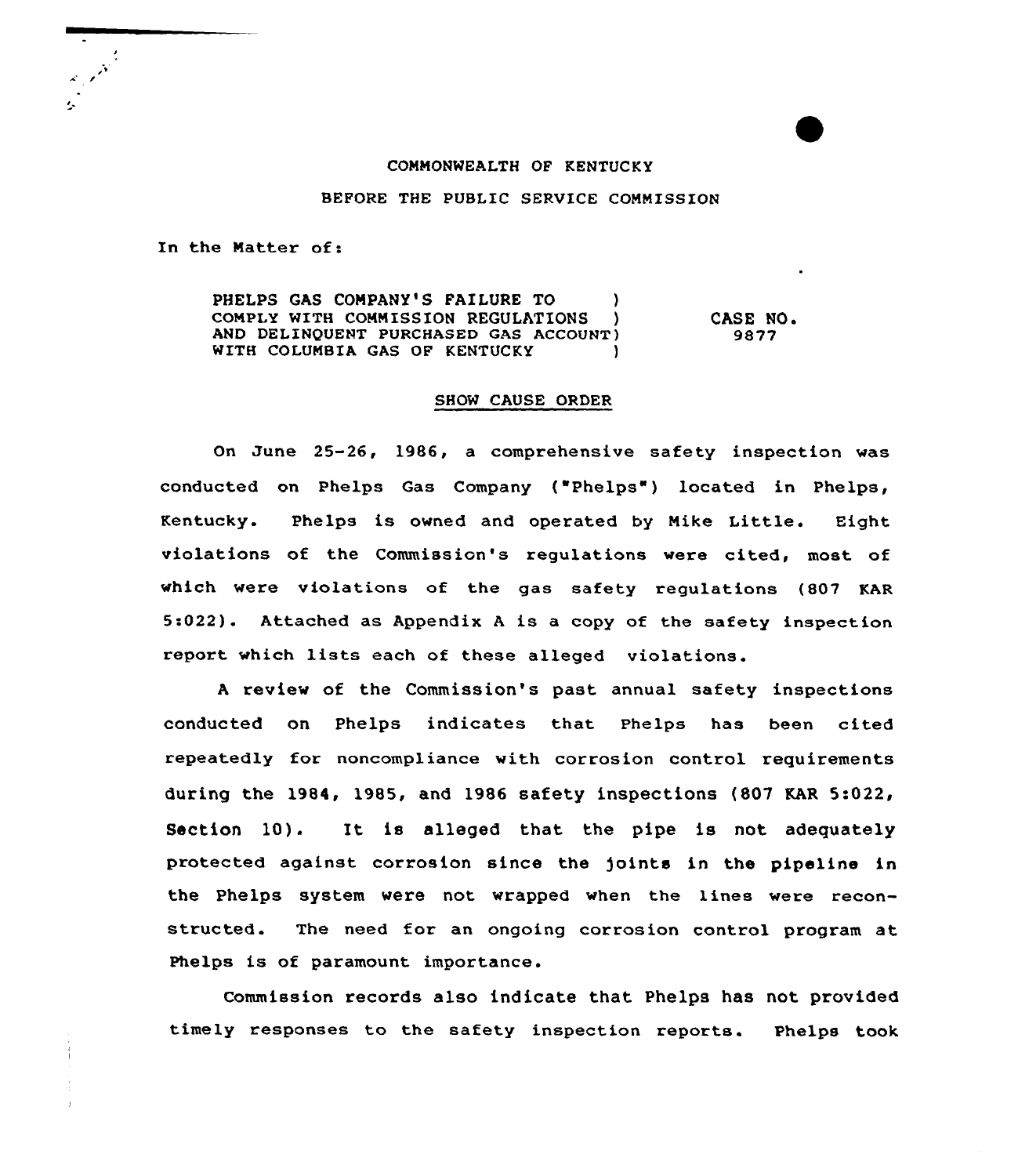# COMMONWEALTH OF KENTUCKY

BEFORE THE PUBLIC SERUICE COMMISSION

In the Matter of:

PHELPS GAS COMPANY'S FAILURE TO ) COMPLY WITH COMMISSION REGULATIONS AND DELINQUENT PURCHASED GAS ACCOUNT) WITH COLUMBIA GAS OF KENTUCKY

CASE NO. 9877

#### SHOW CAUSE ORDER

On June 25-26, 1986, a comprehensive safety inspection was conducted on Phelps Gas Company ("Phelps" ) located in Phelps, Kentucky. Phelps is owned and operated by Mike Little. Eight violations of the Commission's requlations were cited, most of which were violations of the gas safety regulations (807 KAR 5:022). Attached as Appendix <sup>A</sup> is a copy of the safety inspection report which lists each of these alleged violations.

<sup>A</sup> review of the Commission's past annual safety inspections conducted on Phelps indicates that Phelps has been cited repeatedly for noncompliance with corrosion control requirements during the 1984, 1985, and 1986 safety inspections  $(807 \text{ KAR } 5:022)$ Section 10). It is alleged that the pipe is not adequately protected against corrosion since the joints in the pipeline in the Phelps system were not wrapped when the lines were reconstructed. The need for an ongoing corrosion control program at Phelps is of paramount importance.

Commission records also indicate that Phelps has not provided timely responses to the safety inspection reports. Phelps took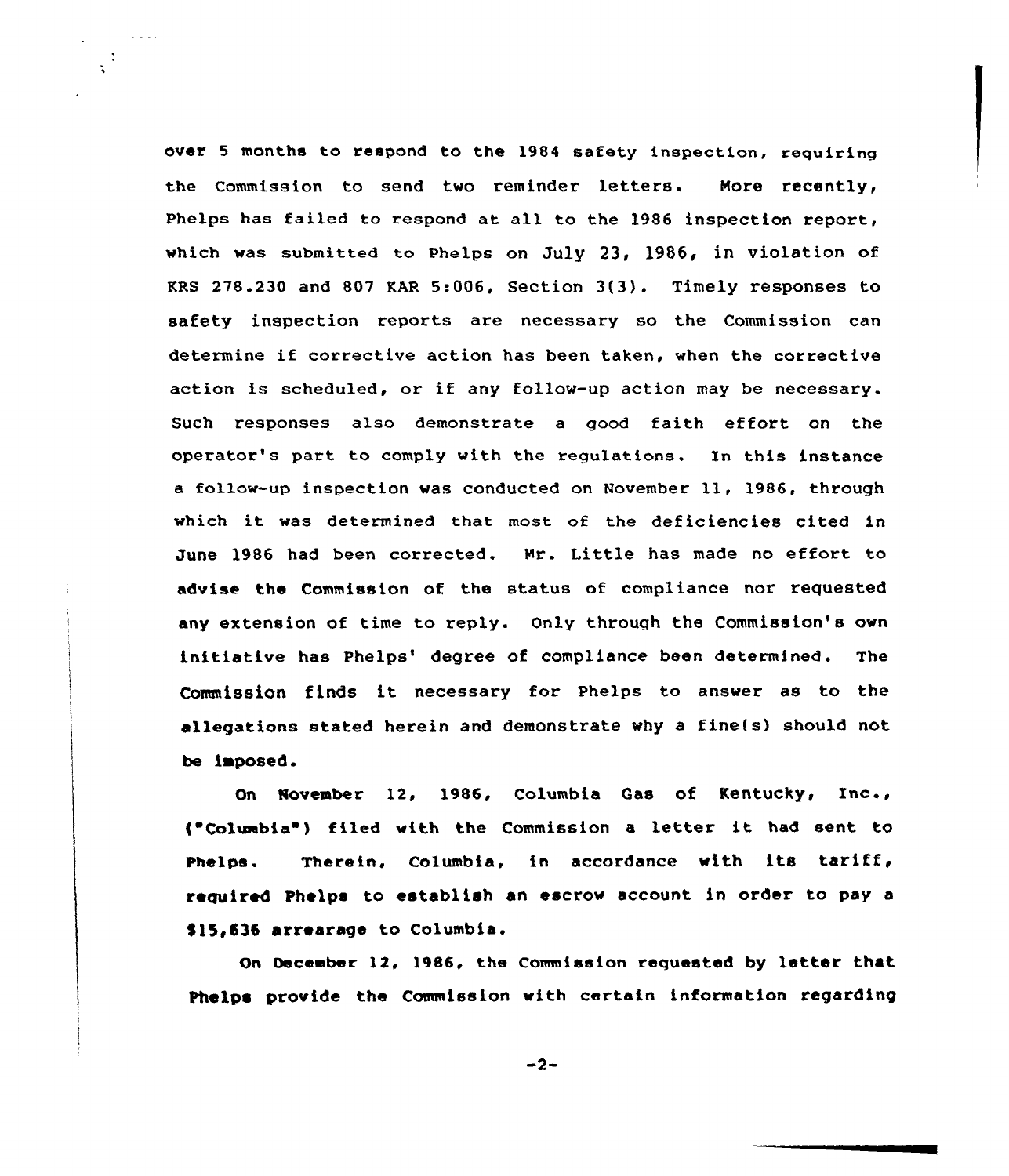over <sup>5</sup> months to respond to the 1984 safety inspection, requiring the Commission to send two reminder letters. Nore recently, Phelps has failed to respond at all to the 1986 inspection report, which was submitted to Phelps on July 23, 1986, in violation of KRS 278.230 and <sup>807</sup> KAR 5:006, Section 3(3). Timely responses to safety inspection reports are necessary so the Commission ean determine if corrective action has been taken, when the corrective action is scheduled, or if any follow-up action may be necessary. Such responses also demonstrate a good faith effort on the operator's part to comply with the regulations. In this instance <sup>a</sup> follow-up inspection was conducted on November 11, 1986, through which it was determined that most of the deficiencies cited in June 1986 had been corrected. Mr. Little has made no effort to advise the Commission of the status of compliance nor requested any extension of time to reply. Only through the Commission's own initiative has Phelps' degree of compliance been determined. The Commission finds it necessary for Phelps to answer as to the allegations stated herein and demonstrate why a fine(s) should not be imposed.

 $\ddot{\phantom{a}}$ 

On November 12, 1986, Columbia Gas of Kentucky, Inc., ( Colwabia ) filed with the Commission <sup>a</sup> letter it had sent to Phelps. Therein, Columbia, in accordance with its tariff, required Phelps to establish an escrow account in order to pay a \$15,636 arrearage to Columbia.

On December 12, 1986, the Commission requested by letter that Phelps provide the Commission with certain information regarding

 $-2-$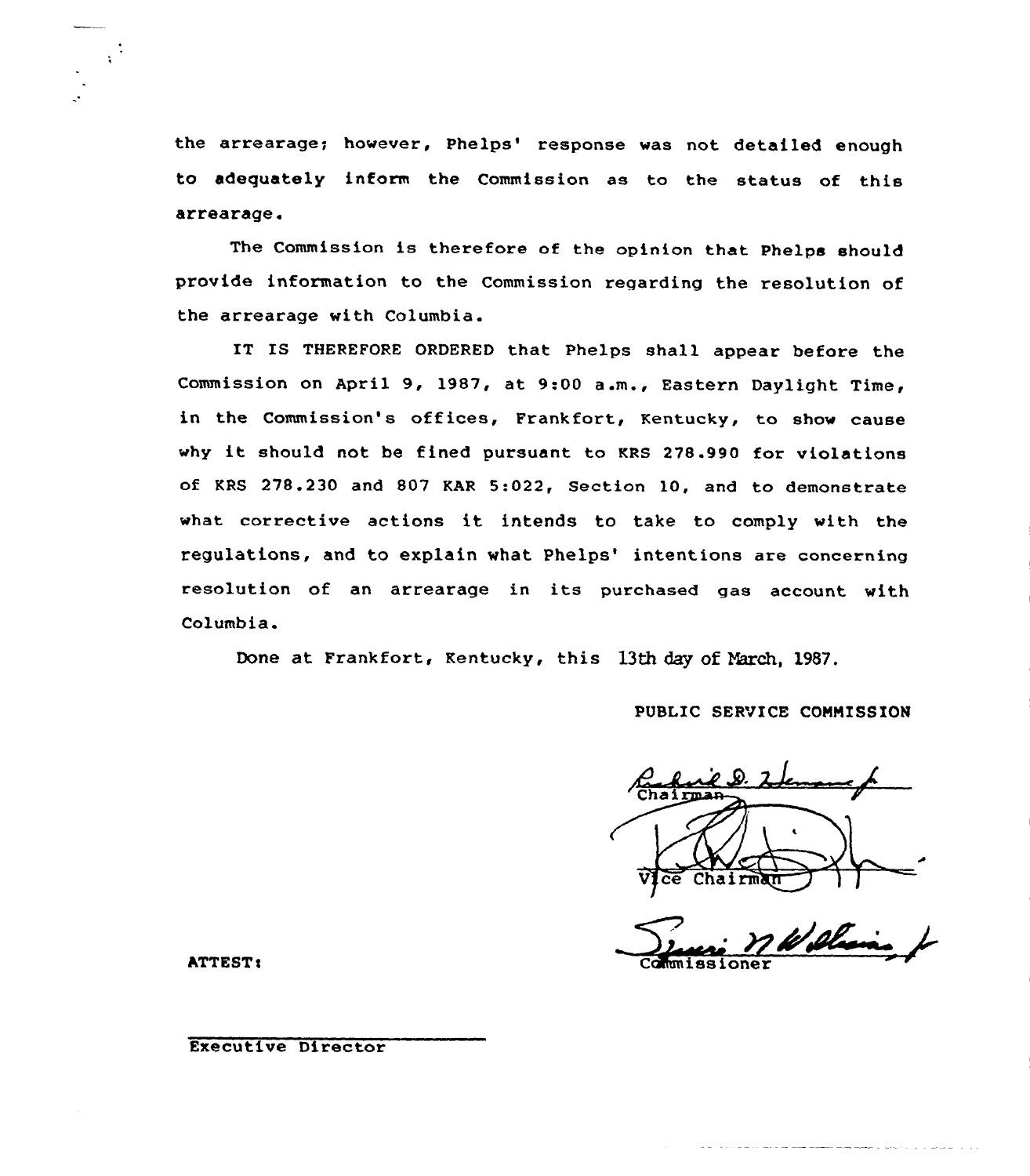the arrearage; however, Phelps' response was not detailed enough to adequately inform the Commission as to the status of this arrearage.

The Commission is therefore of the opinion that Phelps should provide information to the Commission regarding the resolution of the arrearage with Columbia.

IT IS THEREFORE ORDERED that Phelps shall appear before the Commission on April 9, 1987, at 9:00 a.m., Eastern Daylight Time, in the Commission's offices, Frankfort, Kentucky, to show cause why it should not be fined pursuant to KRS 278.990 for violations of KRS 278.230 and 807 KAR 5:022, Section 10, and to demonstrate what corrective actions it intends to take to comply with the regulations, and to explain what Phelps' intentions are concerning resolution of an arrearage in its purchased gas account with Columbia.

Done at Frankfort, Kentucky, this 13th day of March, 1987.

# PUBLIC SERVICE COMMISSION

Chairma

ATTEST:

 $\chi^{\frac{1}{2}}$ 

Executive Director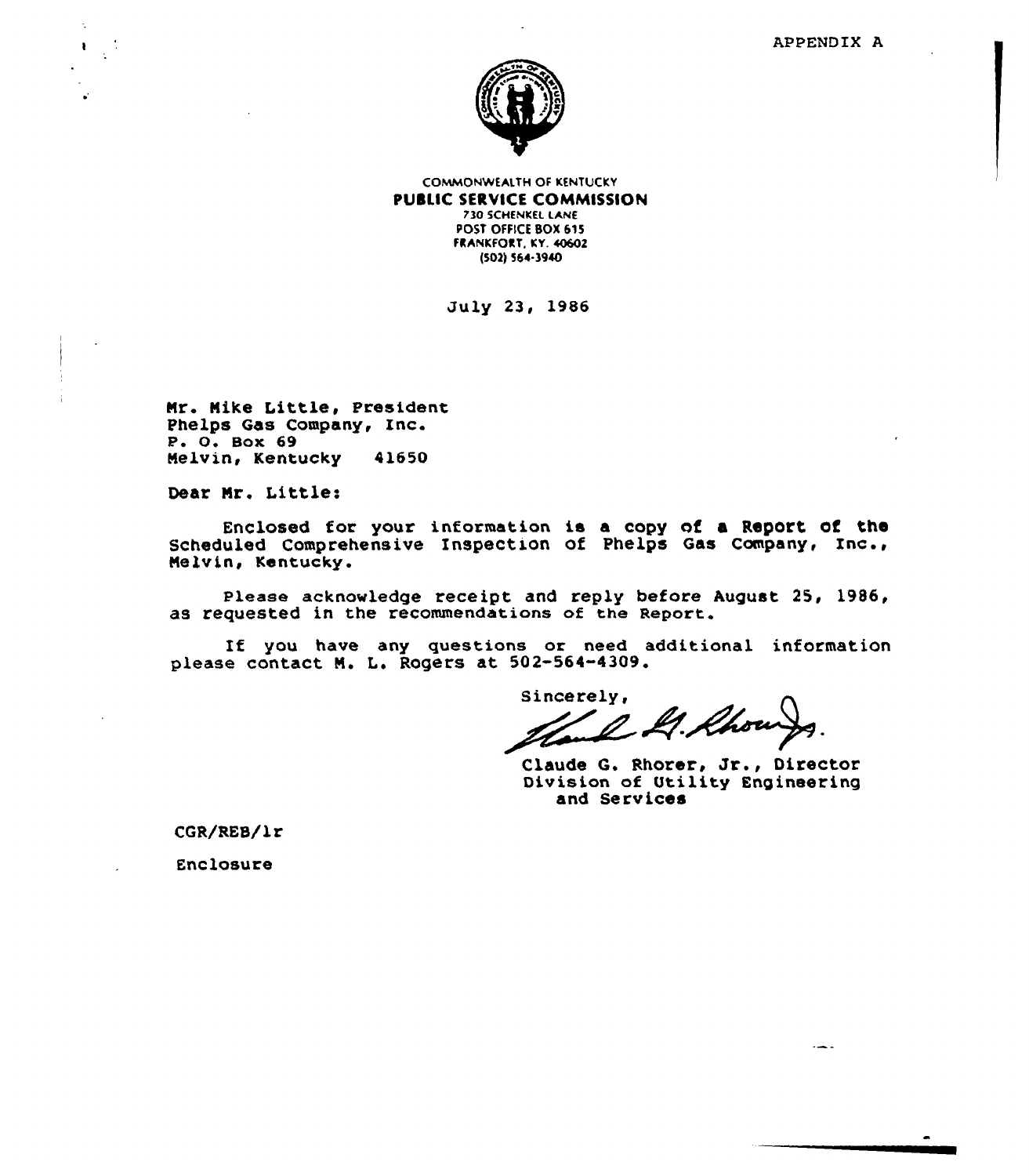

COMMONWEALTH OF KENTUCKY PUBLIC SERVICE COMMISSION 730 5CHENKEL LANE POST OFFICE BOX 615 FRANKFORT, KY. 40602 {503)564-3940

July 23, 1986

Nr. Nike Little, President Phelps Gas Company, Inc.  $P. O. Box 69$ Melvin, Kentucky 41650

Dear Mr. Little:

Enclosed tor your information is a copy of a Report of the Scheduled Comprehensive Inspection of Phelps Gas Company, Inc., Melvin, Kentucky.

please acknowledge receipt and reply before August 25, 1986, as requested in the recommendations of the Report.

If you have any questions ox need additional information please contact N. L. Rogers at 502-564-4309.

sincerely,<br>Hand M. Rhow

Claude G. Rhorer, Jr., Director Division of Utility Engineering and Services

CGR/REB/1r

Enclosure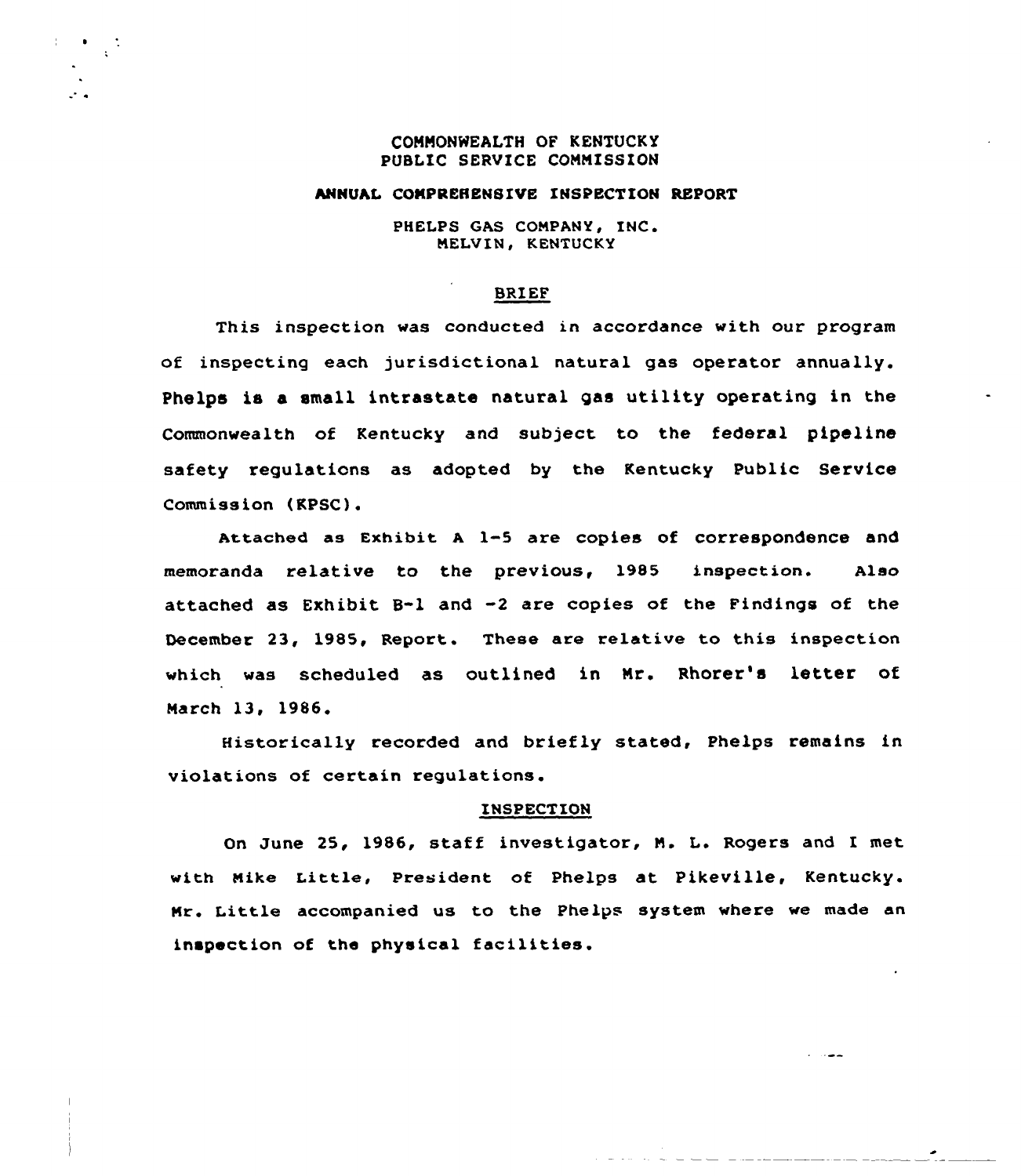# COMMONNEALTH OF KENTUCKY PUBLIC SERVICE COMMISSION

 $\mathcal{L}^{\mathcal{L}}$  is

# ANNUAL COMPREHENSIVE INSPECTION REPORT

PHELPS GAS COMPANY, INC. MELVIN, KENTUCKY

# BRIEF

This inspection was conducted in accordance with our program of inspecting each jurisdictional natural gas operator annually. Phelps is a small intrastate natural gas utility operating in the Commonwealth of Kentucky and subject to the federal pipeline safety regulations as adopted by the Kentucky Public Service Commission (KPSC).

Attached as Exhibit <sup>A</sup> 1-5 are copies of correspondence and memoranda relative to the previous, l985 inspection. Also attached as Exhibit B-1 and -2 are copies of the Findings of the December 23, 1985, Report. These are relative to this inspection which was scheduled as outlined in Mr. Rhorer's letter of March 13, 1986

Historically recorded and briefly stated, Phelps remains in violations of certain regulations.

#### INSPECTION

On June 25, 1986, staff investigator, N. L. Rogers and I met with Nike Little, president of Phelps at Pikeville, Kentucky. Mr. Little accompanied us to the Phelps system where we made an inspection of the physical facilities.

سماء ال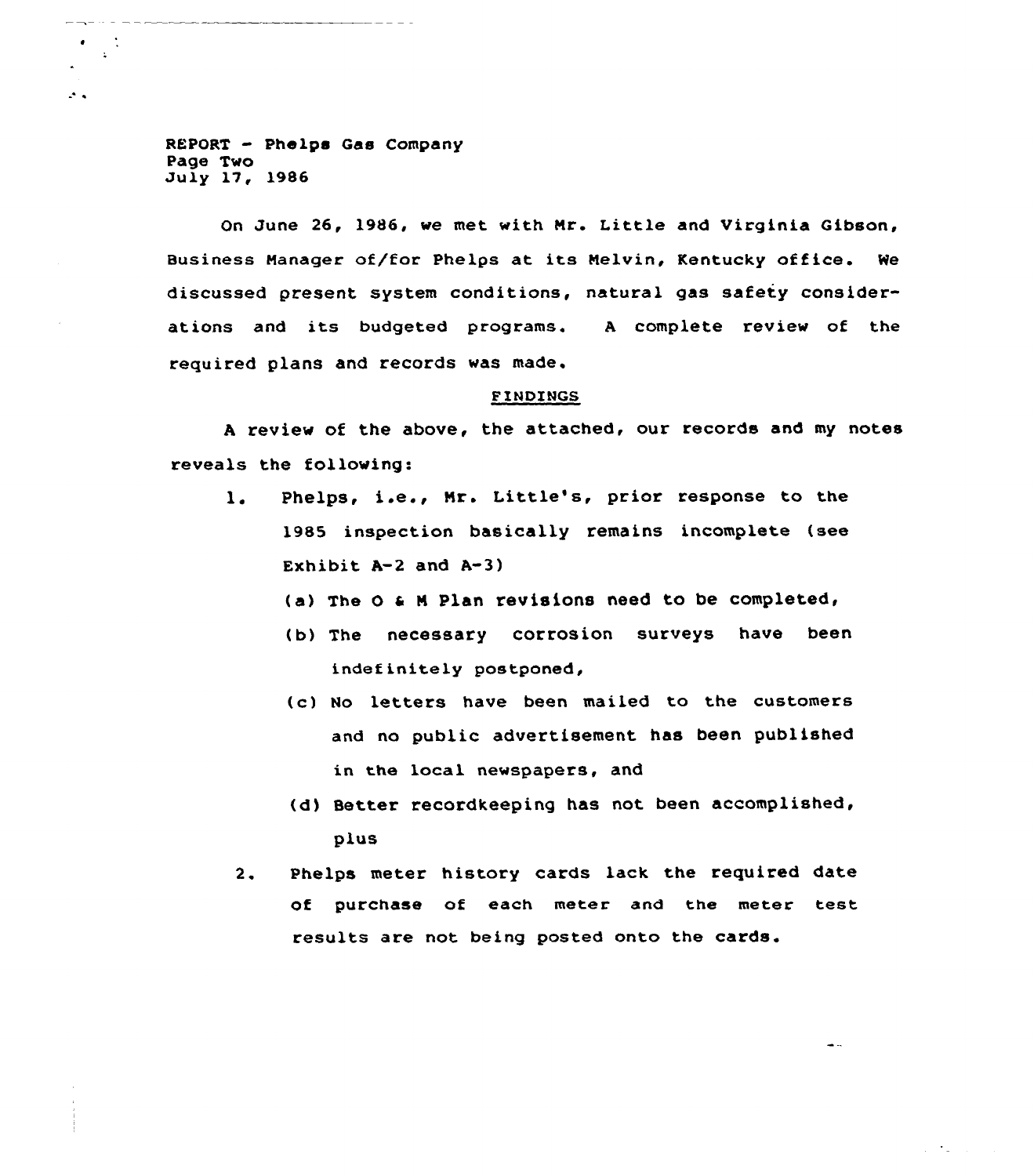REPORT - Phelps Gas Company Page Two Ju ly 17, 1986

 $\mathcal{L}_{\mathcal{A}}$ 

On June 26, 1986, we met with Nr. Little and Virginia Gibson, Business Manager of/for Phelps at its Melvin, Kentucky office. We discussed present system conditions, natural gas safety considerations and its budgeted programs. <sup>A</sup> complete review of the required plans and records was made.

# FINDINGS

<sup>A</sup> review of the above, the attached, our records and my notes reveals the following:

- l. Phelps, i.e., Mr. Little's, prior response to the 1985 inspection basically remains incomplete (see Exhibit  $A-2$  and  $A-3$ )
	- (a) The 0 <sup>a</sup> <sup>M</sup> Plan revisions need to be completed,
	- (b) The necessary corrosion surveys have been indefinitely postponed,
	- (c) No letters have been mailed to the customers and no public advertisement has been published in the local newspapers, and
	- (d) Better recordkeeping has not been accomplished, plus

 $\sim$ 

 $\gamma \rightarrow \gamma$ 

 $2.$ Phelps meter history cards lack the required date of purchase of each meter and the meter test results are not being posted onto the cards.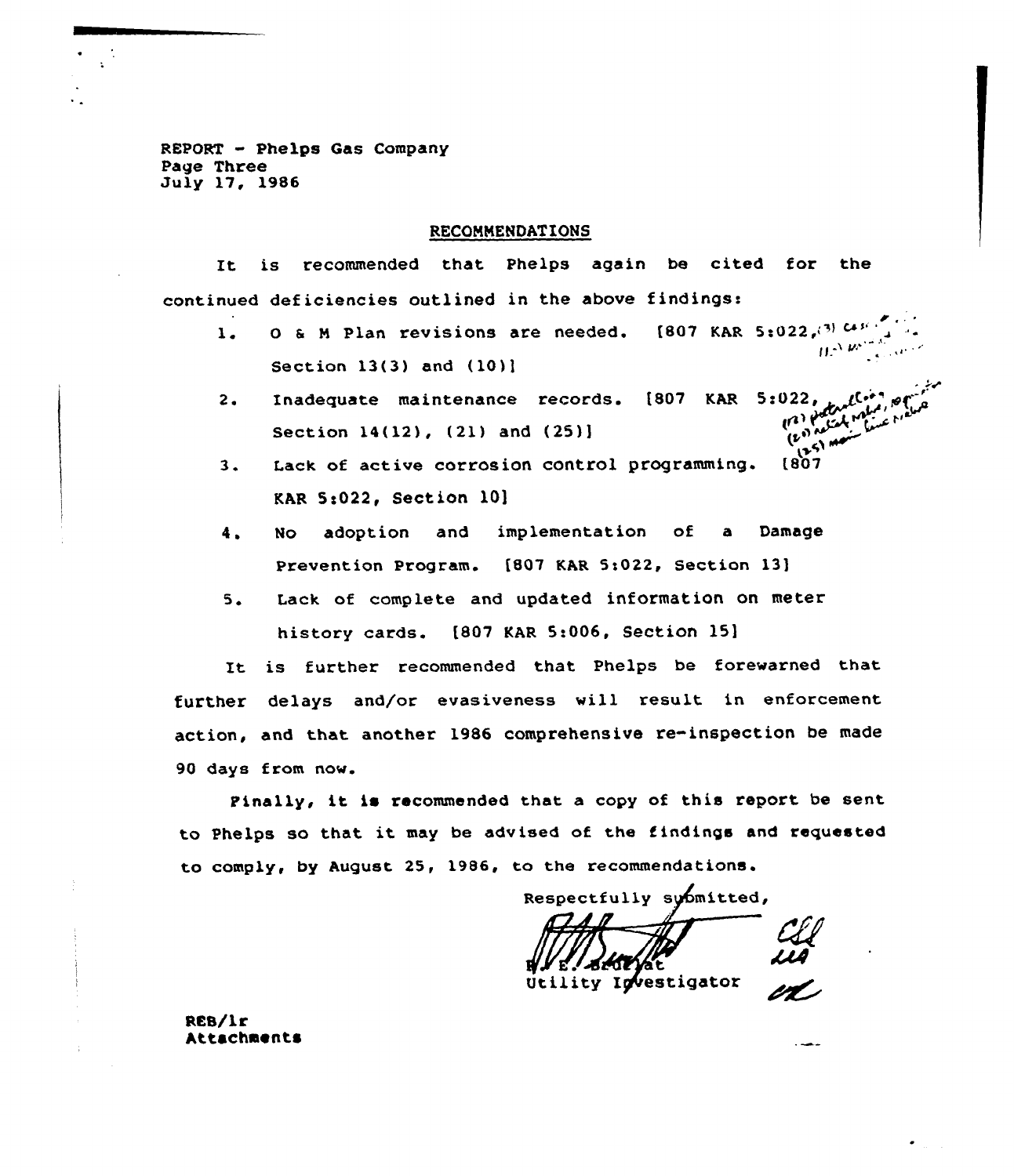REPORT - Phelps Gas Company Page Three July 17, 1986

 $\frac{1}{\sqrt{2}}$ 

# RECONNENDATIONS

It is recommended that Phelps again be cited for the continued deficiencies outlined in the above findings:

- nued deficiencies outlined in the above findings:<br>1. O & M Plan revisions are needed. [807 KAR 5:022,(3)  $G_1^{(1)}$ Section 13(3) and (10)l
- (807 KAR <sup>5</sup> <sup>s</sup> 022, ~~("'( 2. Inadequate maintenance records. Section 14(12), (21) and (25))
- لكي.<br>3. Lack of active corrosion control programming. (807 KAR 5:022, Section 10]
- 4. No adoption and implementation of <sup>a</sup> Damage Prevention Program. [807 KAR 5:022, Section 13]
- 5. Lack of complete and updated information on meter history cards. [807 KAR 5:006, Section 15]

lt is further recommended that Phelps be forewarned that further delays and/or evasiveness will result in enforcement action, and that another 1986 comprehensive re-inspection be made 90 days from now.

Finally, it is recommended that <sup>a</sup> copy of this report be sent to Phelps so that it may be advised of the findings and requested to comply, by August 25, 1986, to the recommendations.

Respectfully submitted,

Utility Investigator

RES/Lr Attachments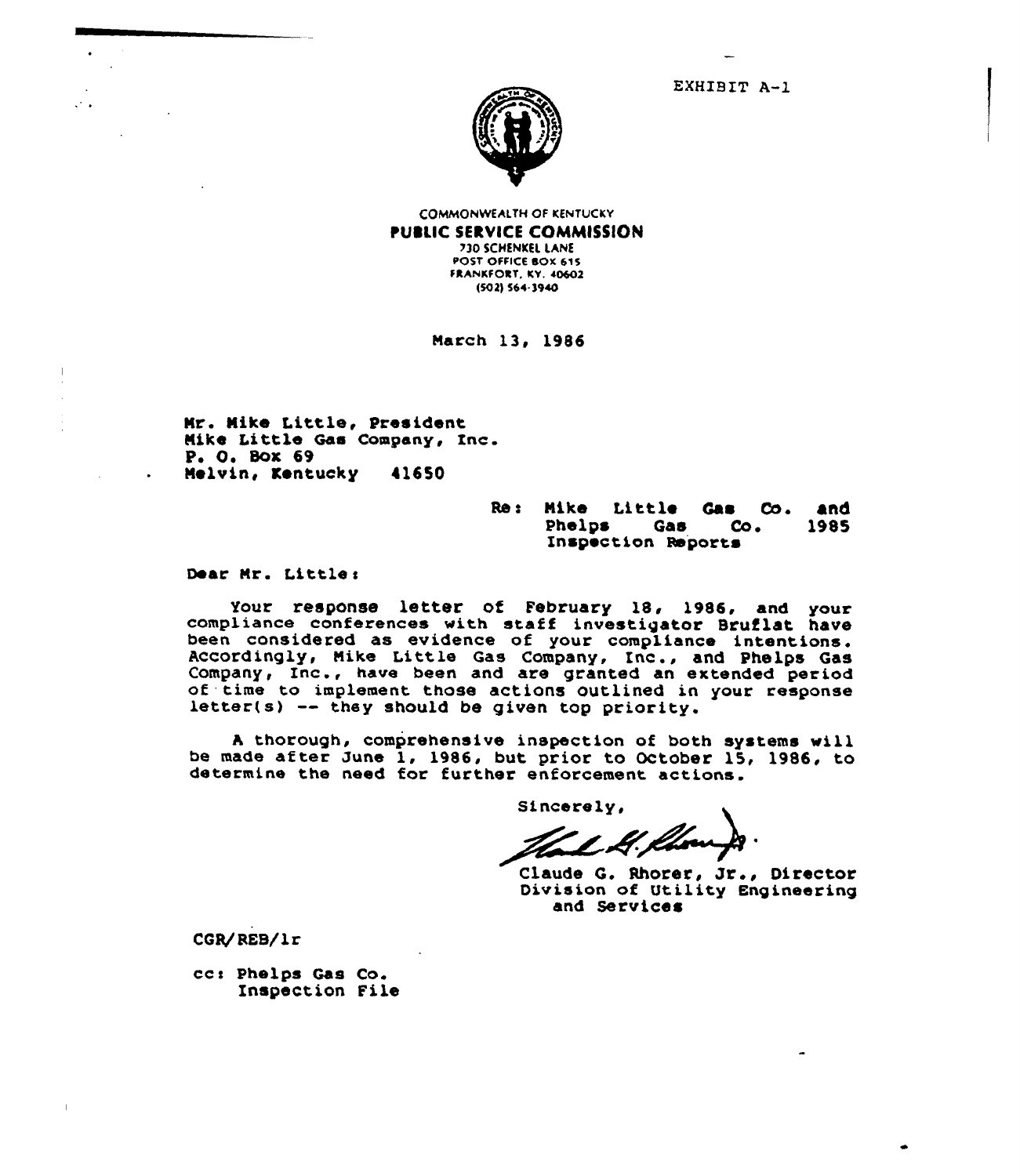EXHIBIT A-1



COMMONWEAETH OF KENTUCKY PUBLIC SERVICE COMMISSION 730 SCHENKEL LANE POST OFFICE bOK 615 FKANKFOKT. KV. 40602 (SOZ) 564-3940

March 13, 1986

Nr. Nike Little, President Nike Little Gas Company, Inc. P, 0, Box 69 Nelvin, Kentucky 416SO

Re: Mike Little Gas Co. and<br>Phelps Gas Co. 1985 Inspection Reports Inc

Dear Nr. Little <sup>s</sup>

Your response letter of February 18, 1986, and your<br>compliance conferences with staff investigator Bruflat have been considered as evidence of your compliance intentions.<br>Accordingly, Mike Little Gas Company, Inc., and Phelps Gas<br>Company, Inc., have been and are granted an extended ps Gas Accordingly, Mike Little Gas Company, Inc., and Phelps Gas Company, Inc., have been and are granted an extended period of time to implement those actions outlined in your response letter(s) -- they should be given top priority.

<sup>A</sup> thorough, comprehensive inspection of both systems vill be made after June 1, 1986, but prior to October 15, 1986, to determine the need for further enforcement actions.

Sincerely,

Claude G. Rhorer, Jr., Director Division of Utility Engineering and Services

CGR/REB/lr

ccs Phelps Gas Co. Inspection File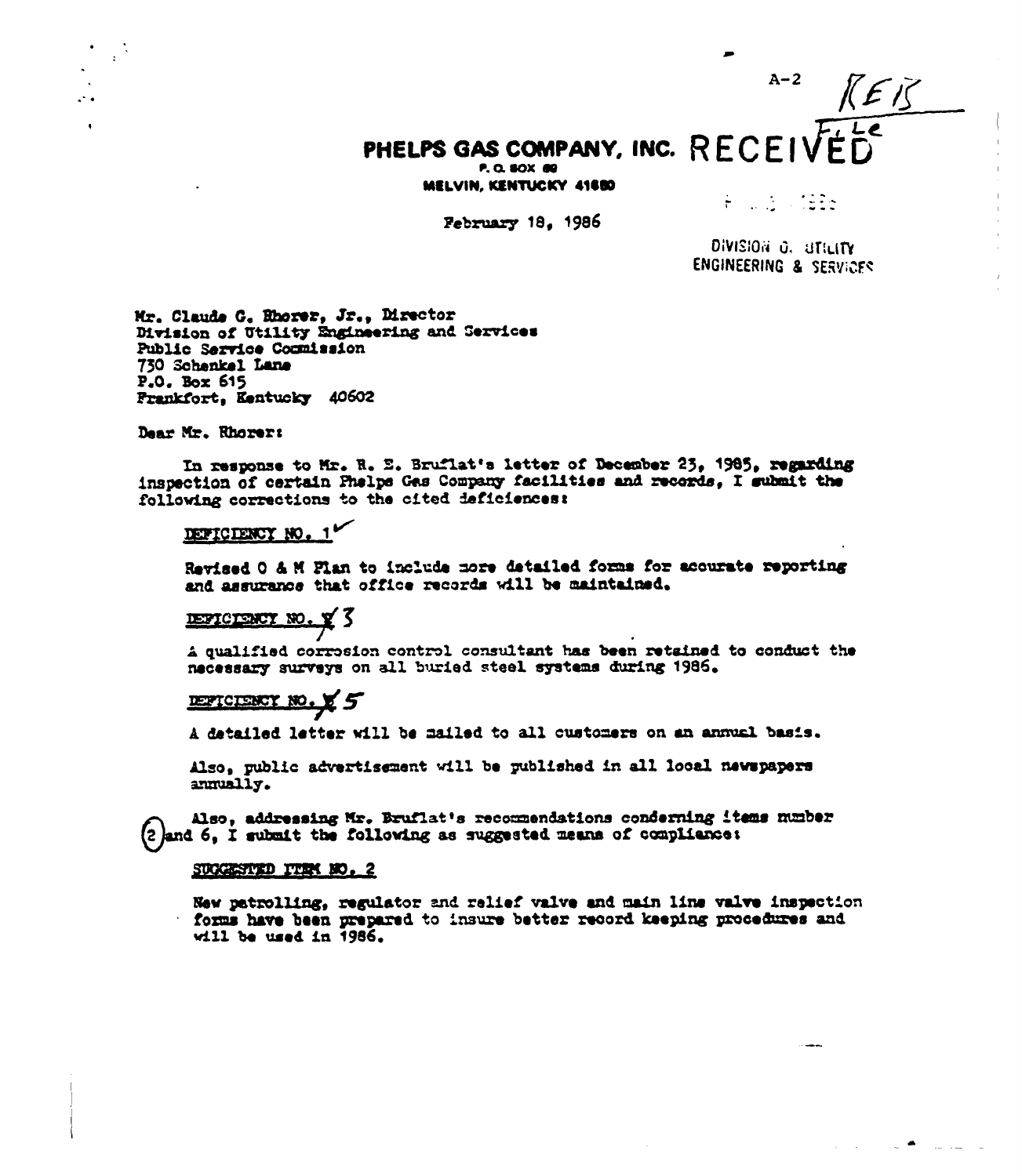# PHELPS GAS COMPANY, INC. RECEIVED

MELVIN, KENTUCKY 41880

February 18. 1986

A NASA 1926

 $A-2$ 

 $K E K$ 

DIVISION O. STEITY **ENGINEERING & SERVICES** 

Mr. Claude G. Rhorer, Jr., Director Division of Utility Engineering and Services Public Service Commission 730 Schenkel Lane P.O. Box 615 Frankfort, Kentucky 40602

Dear Mr. Rhorer:

In response to Mr. R. E. Bruflat's letter of December 25, 1985, regarding inspection of certain Phelps Gas Company facilities and records, I submit the following corrections to the cited deficiences:

# DEFICIENCY NO. 1

Revised O & M Flan to include more detailed forms for acourate reporting and assurance that office records will be maintained.

# DEPICTENCY NO. Y 3

A qualified corresion control consultant has been retained to conduct the necessary surveys on all buried steel systems during 1986.

# DEFICIENCY NO. X 5

A datailed letter will be mailed to all customers on an annual basis.

Also, public advertisement will be published in all local newspapers annually.

Also, addressing Mr. Bruflat's recommendations conderning items number (2) and 6. I submit the following as suggested means of compliance:

#### SUCCESTED TTEM NO. 2

New patrolling, regulator and relief valve and main line valve inspection forms have been prepared to insure better record keeping procedures and will be used in 1986.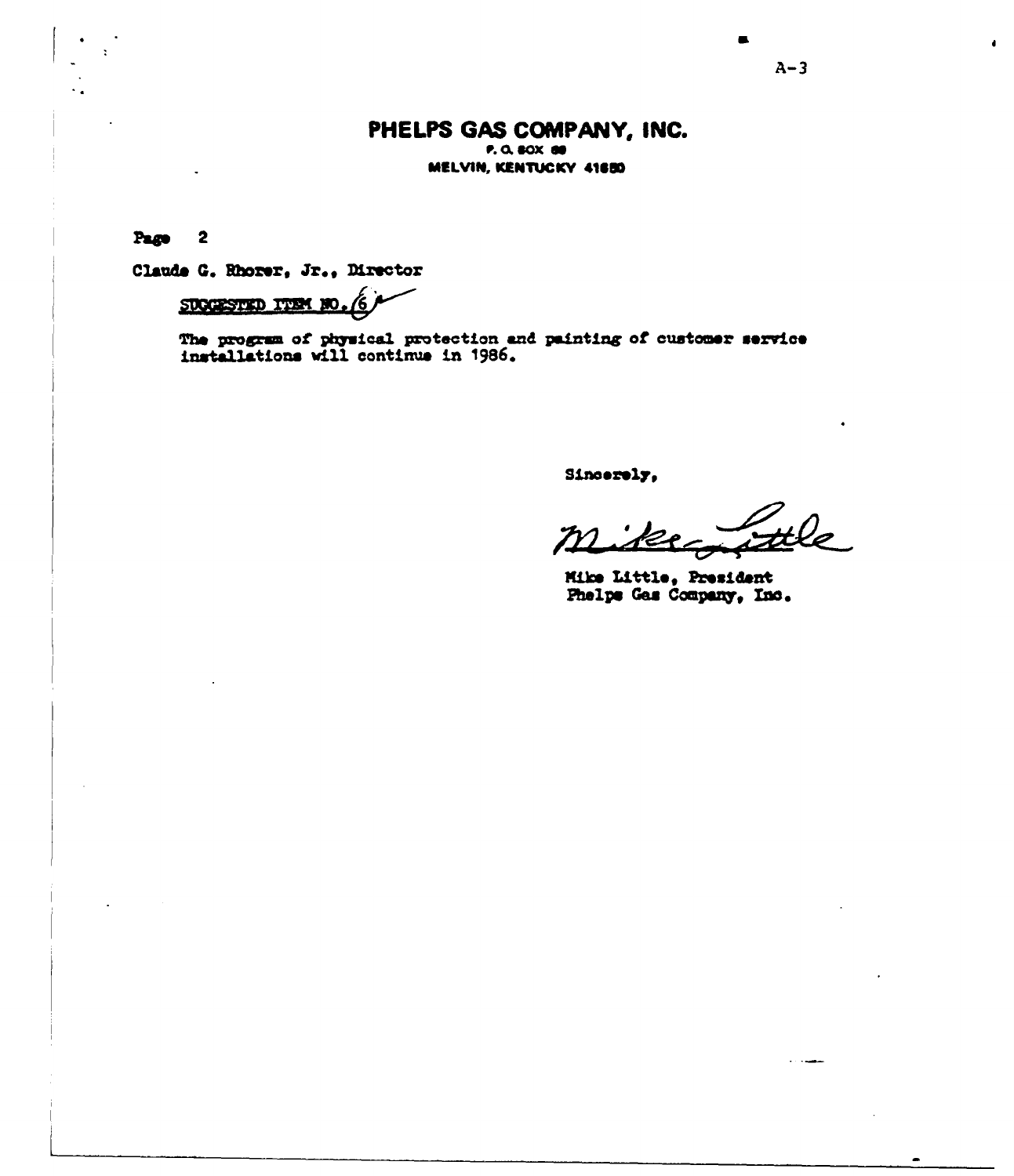# PHELPS GAS COMPANY, INC. P. O. BOX 80 MELVIN, KENTUCKY 41650

Page  $\overline{\mathbf{2}}$ 

Claude G. Rhorer, Jr., Director

# SUCCESTED ITEM NO

The program of physical protection and painting of customer service installations will continue in 1986.

Sincerely.

Mike Little, President Phelps Gas Company, Inc.

 $\bullet$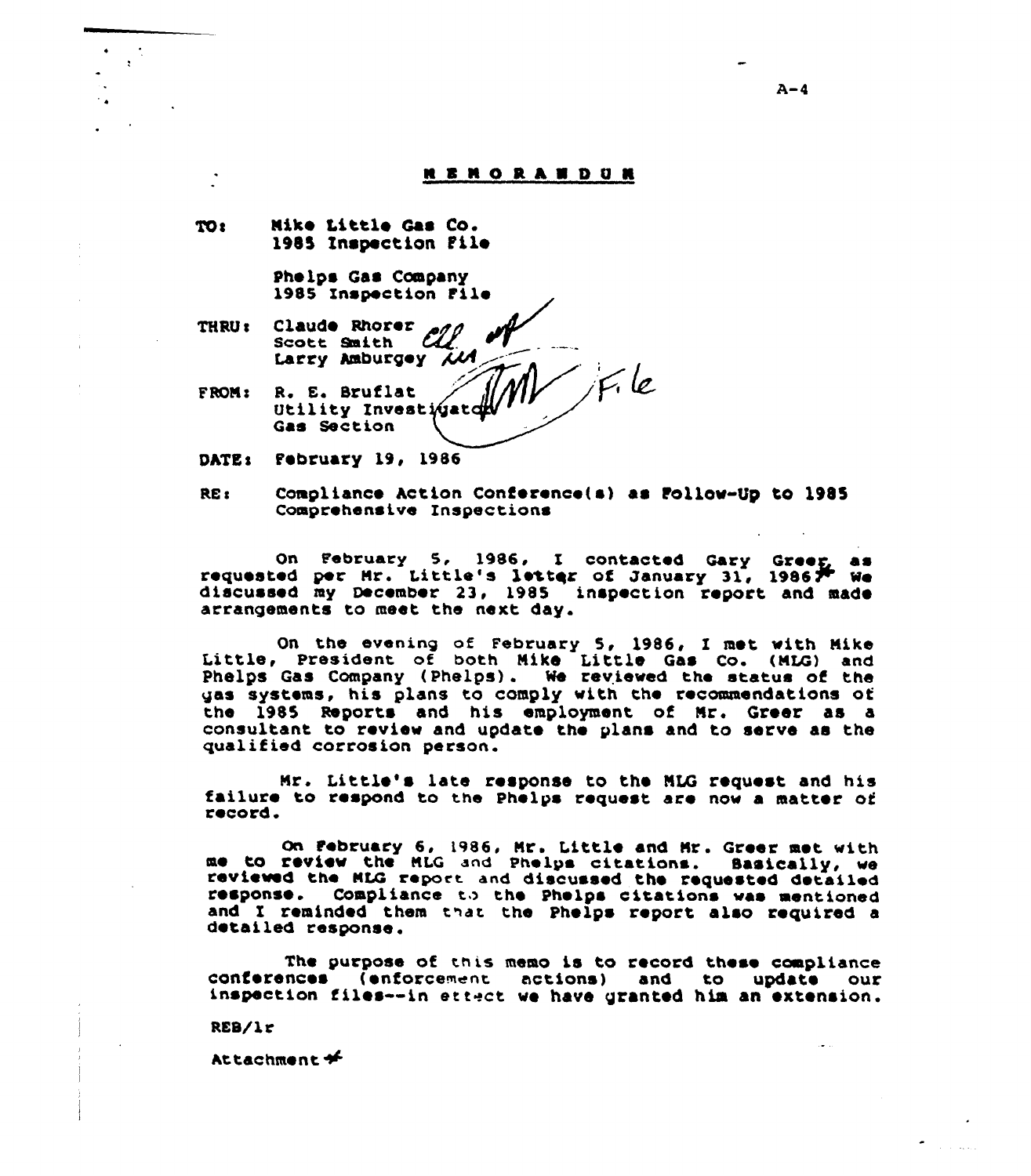# **NENORANDUR**

TO: Nike Little Gas Co. 1985 inspection File

> Phelps Gas Company 1985 Enspection Filo

- THRU: Claude Rhorer  $\mathcal{C\!L}$ Larry Amburgey  $\widetilde{\mathcal{M}}$
- FROM: R. E. Bruflat Utility Znvest Gas Section

DATE: February 19, 1986

REc compliance hction conference(a) as Follov-Qy to 1985 Comprehensive Inspections

On February 5, 1986, I contacted Gary Greeg as requested per Hr. Little's letter of January 31, 1986, We<br>discussed my December 23, 1985 inspection report and made discussed my December 23, 1985 inspection report and made arrangements to meet the next day.

On the evening of February 5, 1986, <sup>I</sup> met, vith Nike Little, President of both Nike Little Gas Co. (NLQ) and Little, President of both Mike Little Gas Co. (MLG) and<br>Phelps Gas Company (Phelps). We reviewed the status of the Phelps Gas Company (Phelps). We reviewed the status of the uss systems, his plans to comply with the recommendations of the 1985 Reports and his employmont of Nr. Groor as a consultant to review and update the plans and to serve as the qualified corrosion person.

Nr. Little's late response to the NLG request and his failure to respond to the Phelps request are nov <sup>a</sup> matter of record.

On February 6, 1986, Mr. Little and Mr. Greer met with<br>me to review the MLG and Phelps citations. Sasically, we<br>reviewed the MLG report and discussed the requested detailed reviewed the MLG report and discussed the requested detailed response. Compliance to the Phelps citations was mentioned and I reminded them that the Phelps report also required a detailed response.

The purpose of this memo is to record these compliance conferences (enforcement actions) and to update our inspection files—in stretch we have granted him an extension.

RES/lr

httachment+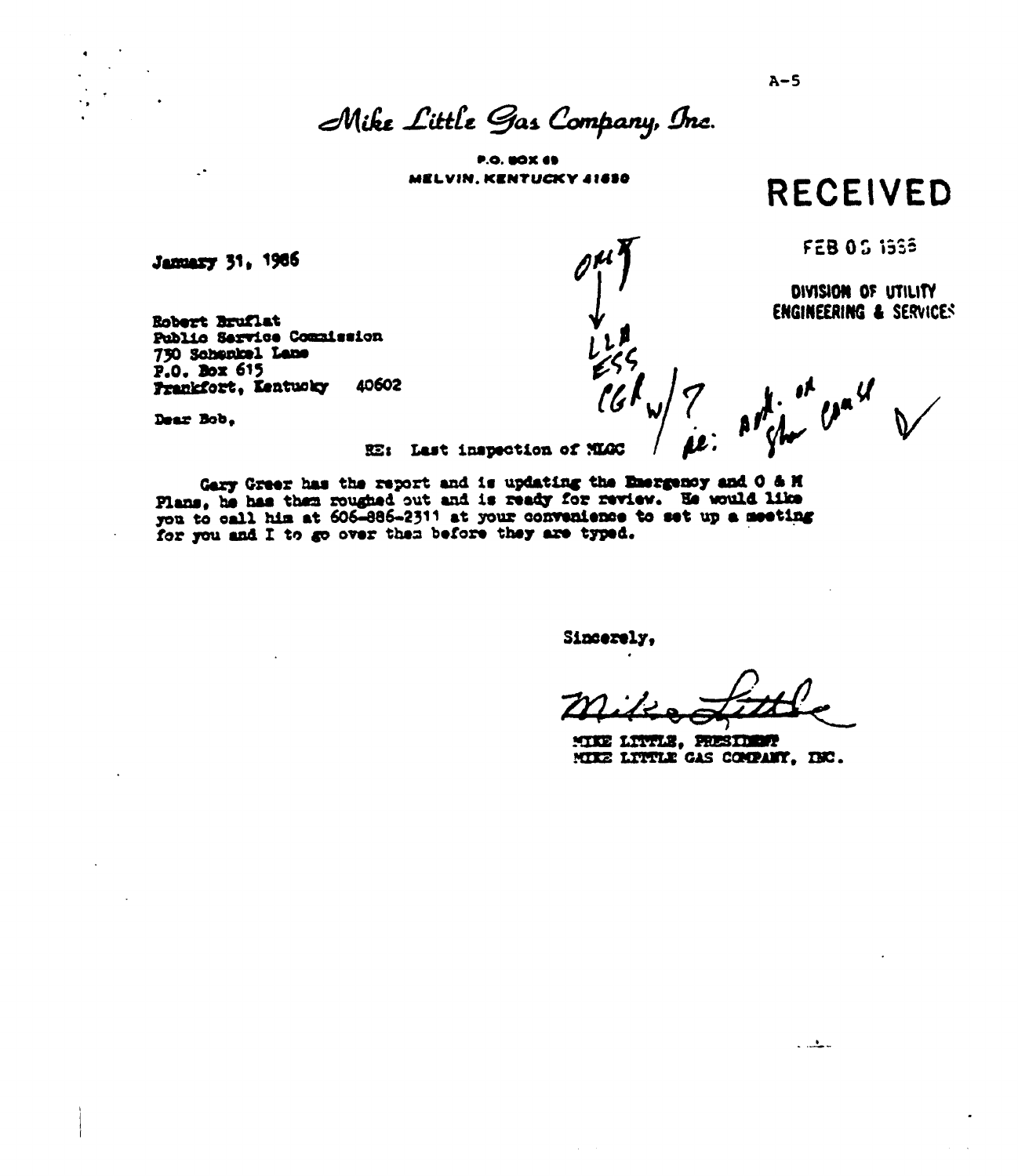$A-5$ 

# Mike Little Gas Company, Inc.

**P.O. BOX 69** MELVIN, KENTUCKY 41850

**RECEIVED** 

FEB 05 1998

DIVISION OF UTILITY **ENGINEERING & SERVICES** 

Robert Bruflat Public Service Commission 750 Schenkel Lane P.O. Box 615 40602 Frankfort, Kentucky

Dear Bob.

 $\ddotsc$ 

January 31, 1986

RE: Last inspection of NLGC

Gary Green has the report and is updating the Energency and O & H Plans, he has then roughed out and is ready for review. He would like you to call him at 606-886-2311 at your convenience to set up a meeting for you and I to go over them before they are typed.

Sincerely,

MIKE LIVILE, PRESIDENT MIKE LITTLE GAS COMPANY, INC.

 $\frac{1}{2}$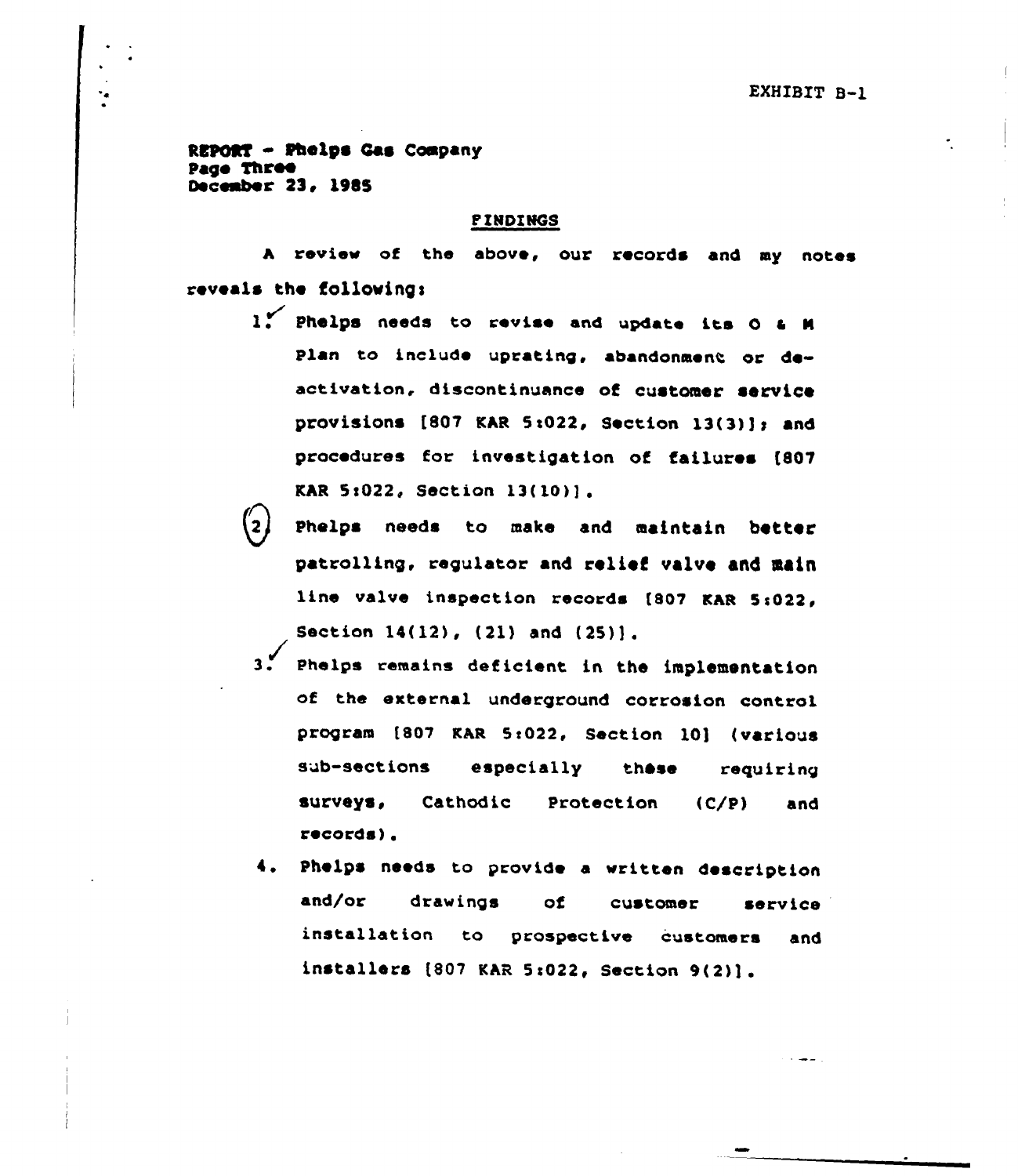Rs **PORT - Phelps Cas Company**<br>ge Three page 5lree December 23, 1985

# **PINDINGS**

A review of the above, our records and my notes reveals the follovings

- 1. Phelps needs to revise and update its O & M Plan to inc)ude uprating, abandonment or deactivation, discontinuance of customer service provisions  $[807$  KAR 5:022, Section  $13(3)$ ]; and procedures for investigation of failures [807 KAR 5:022, Section 13(10)].
- Phelps needs to make and maintain better patrolling, regulator and relief valve and main line valve inspection records [807 KAR 5:022, Section 14(12), (21) and (25)].
- 3. Phelps remains deficient in the implementation of the external underground corrosion control program [807 KAR 5:022, Section 10] (various sub-sections especially these requiring surveys, Cathodic Protection (C/P) and records).
- 4. Phelps needs to provide <sup>a</sup> written description and/or drawings of customer service installation to prospective customers and installers  $[807$  KAR 5:022, Section  $9(2)$ ].